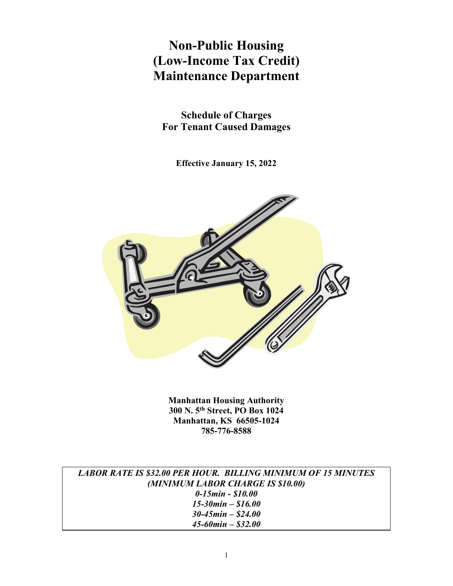# **Non-Public Housing (Low-Income Tax Credit) Maintenance Department**

**Schedule of Charges For Tenant Caused Damages**

**Effective January 15, 2022**



**Manhattan Housing Authority 300 N. 5th Street, PO Box 1024 Manhattan, KS 66505-1024 785-776-8588**

| <b>LABOR RATE IS \$32.00 PER HOUR. BILLING MINIMUM OF 15 MINUTES</b> |
|----------------------------------------------------------------------|
| (MINIMUM LABOR CHARGE IS \$10.00)                                    |
| $0-15$ min - \$10.00                                                 |
| $15 - 30$ min $-$ \$16.00                                            |
| $30 - 45$ min – \$24.00                                              |
| $45 - 60$ min – \$32.00                                              |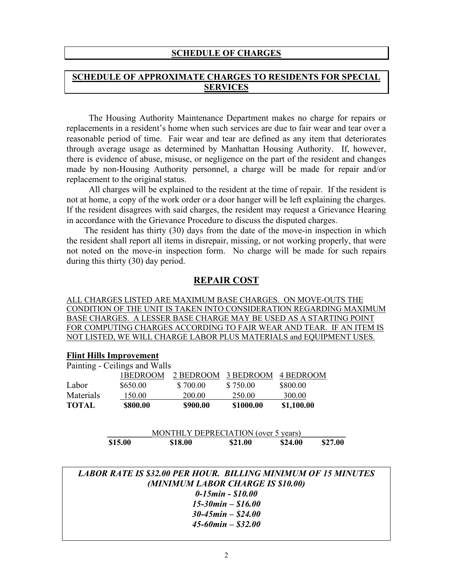#### **SCHEDULE OF CHARGES**

# **SCHEDULE OF APPROXIMATE CHARGES TO RESIDENTS FOR SPECIAL SERVICES**

 The Housing Authority Maintenance Department makes no charge for repairs or replacements in a resident's home when such services are due to fair wear and tear over a reasonable period of time. Fair wear and tear are defined as any item that deteriorates through average usage as determined by Manhattan Housing Authority. If, however, there is evidence of abuse, misuse, or negligence on the part of the resident and changes made by non-Housing Authority personnel, a charge will be made for repair and/or replacement to the original status.

 All charges will be explained to the resident at the time of repair. If the resident is not at home, a copy of the work order or a door hanger will be left explaining the charges. If the resident disagrees with said charges, the resident may request a Grievance Hearing in accordance with the Grievance Procedure to discuss the disputed charges.

 The resident has thirty (30) days from the date of the move-in inspection in which the resident shall report all items in disrepair, missing, or not working properly, that were not noted on the move-in inspection form. No charge will be made for such repairs during this thirty (30) day period.

# **REPAIR COST**

ALL CHARGES LISTED ARE MAXIMUM BASE CHARGES. ON MOVE-OUTS THE CONDITION OF THE UNIT IS TAKEN INTO CONSIDERATION REGARDING MAXIMUM BASE CHARGES. A LESSER BASE CHARGE MAY BE USED AS A STARTING POINT FOR COMPUTING CHARGES ACCORDING TO FAIR WEAR AND TEAR. IF AN ITEM IS NOT LISTED, WE WILL CHARGE LABOR PLUS MATERIALS and EQUIPMENT USES.

#### **Flint Hills Improvement**

|              | Painting - Ceilings and Walls |          |                               |            |
|--------------|-------------------------------|----------|-------------------------------|------------|
|              | 1BEDROOM                      |          | 2 BEDROOM 3 BEDROOM 4 BEDROOM |            |
| Labor        | \$650.00                      | \$700.00 | \$750.00                      | \$800.00   |
| Materials    | 150.00                        | 200.00   | 250.00                        | 300.00     |
| <b>TOTAL</b> | \$800.00                      | \$900.00 | \$1000.00                     | \$1,100.00 |

|         |         | MONTHLY DEPRECIATION (over 5 years) |         |         |
|---------|---------|-------------------------------------|---------|---------|
| \$15.00 | \$18.00 | \$21.00                             | \$24.00 | \$27.00 |

| <b>LABOR RATE IS \$32.00 PER HOUR. BILLING MINIMUM OF 15 MINUTES</b> |
|----------------------------------------------------------------------|
| (MINIMUM LABOR CHARGE IS \$10.00)                                    |
| $0-15$ min - \$10.00                                                 |
| $15 - 30$ min $- $16.00$                                             |
| $30 - 45$ min – \$24.00                                              |
| $45 - 60$ min $-$ \$32.00                                            |
|                                                                      |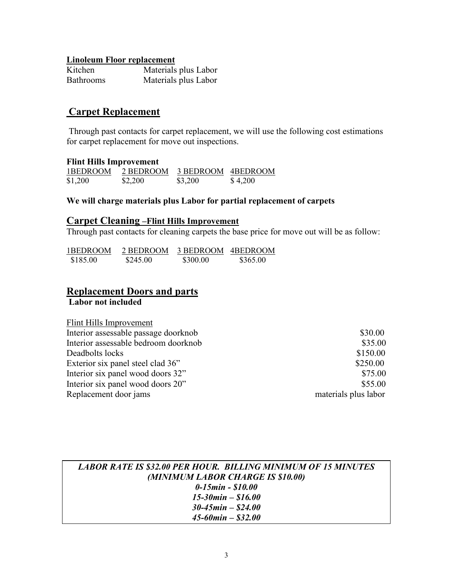#### **Linoleum Floor replacement**

| Kitchen          | Materials plus Labor |
|------------------|----------------------|
| <b>Bathrooms</b> | Materials plus Labor |

# **Carpet Replacement**

Through past contacts for carpet replacement, we will use the following cost estimations for carpet replacement for move out inspections.

#### **Flint Hills Improvement**

| 1BEDROOM | 2 BEDROOM | 3 BEDROOM 4BEDROOM |         |
|----------|-----------|--------------------|---------|
| \$1,200  | \$2,200   | \$3,200            | \$4,200 |

## **We will charge materials plus Labor for partial replacement of carpets**

## **Carpet Cleaning –Flint Hills Improvement**

Through past contacts for cleaning carpets the base price for move out will be as follow:

| 1BEDROOM | 2 BEDROOM | 3 BEDROOM 4BEDROOM |          |
|----------|-----------|--------------------|----------|
| \$185.00 | \$245.00  | \$300.00           | \$365.00 |

#### **Replacement Doors and parts Labor not included**

| Flint Hills Improvement              |                      |
|--------------------------------------|----------------------|
| Interior assessable passage doorknob | \$30.00              |
| Interior assessable bedroom doorknob | \$35.00              |
| Deadbolts locks                      | \$150.00             |
| Exterior six panel steel clad 36"    | \$250.00             |
| Interior six panel wood doors 32"    | \$75.00              |
| Interior six panel wood doors 20"    | \$55.00              |
| Replacement door jams                | materials plus labor |

# *LABOR RATE IS \$32.00 PER HOUR. BILLING MINIMUM OF 15 MINUTES (MINIMUM LABOR CHARGE IS \$10.00) 0-15min - \$10.00 15-30min – \$16.00 30-45min – \$24.00 45-60min – \$32.00*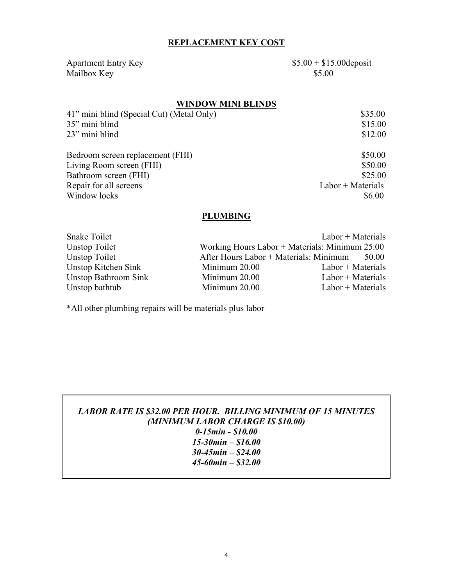# **REPLACEMENT KEY COST**

Apartment Entry Key \$5.00 + \$15.00 deposit Mailbox Key \$5.00

# **WINDOW MINI BLINDS**

| \$35.00             |
|---------------------|
| \$15.00             |
| \$12.00             |
| \$50.00             |
| \$50.00             |
| \$25.00             |
| $Labor + Materials$ |
| \$6.00              |
|                     |

# **PLUMBING**

| Snake Toilet         |                                        | $Labor + Materials$                            |
|----------------------|----------------------------------------|------------------------------------------------|
| Unstop Toilet        |                                        | Working Hours Labor + Materials: Minimum 25.00 |
| Unstop Toilet        | After Hours Labor + Materials: Minimum | 50.00                                          |
| Unstop Kitchen Sink  | Minimum 20.00                          | $Labor + Materials$                            |
| Unstop Bathroom Sink | Minimum 20.00                          | $Labor + Materials$                            |
| Unstop bathtub       | Minimum 20.00                          | $Labor + Materials$                            |

\*All other plumbing repairs will be materials plus labor

*LABOR RATE IS \$32.00 PER HOUR. BILLING MINIMUM OF 15 MINUTES (MINIMUM LABOR CHARGE IS \$10.00) 0-15min - \$10.00 15-30min – \$16.00 30-45min – \$24.00 45-60min – \$32.00*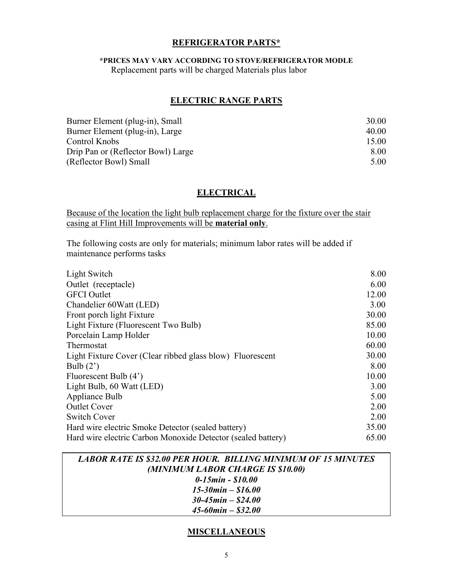## **REFRIGERATOR PARTS\***

## **\*PRICES MAY VARY ACCORDING TO STOVE/REFRIGERATOR MODLE**

Replacement parts will be charged Materials plus labor

## **ELECTRIC RANGE PARTS**

| 30.00 |
|-------|
| 40.00 |
| 15.00 |
| 8.00  |
| 5.00  |
|       |

# **ELECTRICAL**

Because of the location the light bulb replacement charge for the fixture over the stair casing at Flint Hill Improvements will be **material only**.

The following costs are only for materials; minimum labor rates will be added if maintenance performs tasks

| Light Switch                                                 | 8.00  |
|--------------------------------------------------------------|-------|
| Outlet (receptacle)                                          | 6.00  |
| <b>GFCI</b> Outlet                                           | 12.00 |
| Chandelier 60Watt (LED)                                      | 3.00  |
| Front porch light Fixture                                    | 30.00 |
| Light Fixture (Fluorescent Two Bulb)                         | 85.00 |
| Porcelain Lamp Holder                                        | 10.00 |
| Thermostat                                                   | 60.00 |
| Light Fixture Cover (Clear ribbed glass blow) Fluorescent    | 30.00 |
| Bulb $(2')$                                                  | 8.00  |
| Fluorescent Bulb (4')                                        | 10.00 |
| Light Bulb, 60 Watt (LED)                                    | 3.00  |
| Appliance Bulb                                               | 5.00  |
| <b>Outlet Cover</b>                                          | 2.00  |
| <b>Switch Cover</b>                                          | 2.00  |
| Hard wire electric Smoke Detector (sealed battery)           | 35.00 |
| Hard wire electric Carbon Monoxide Detector (sealed battery) | 65.00 |



# **MISCELLANEOUS**